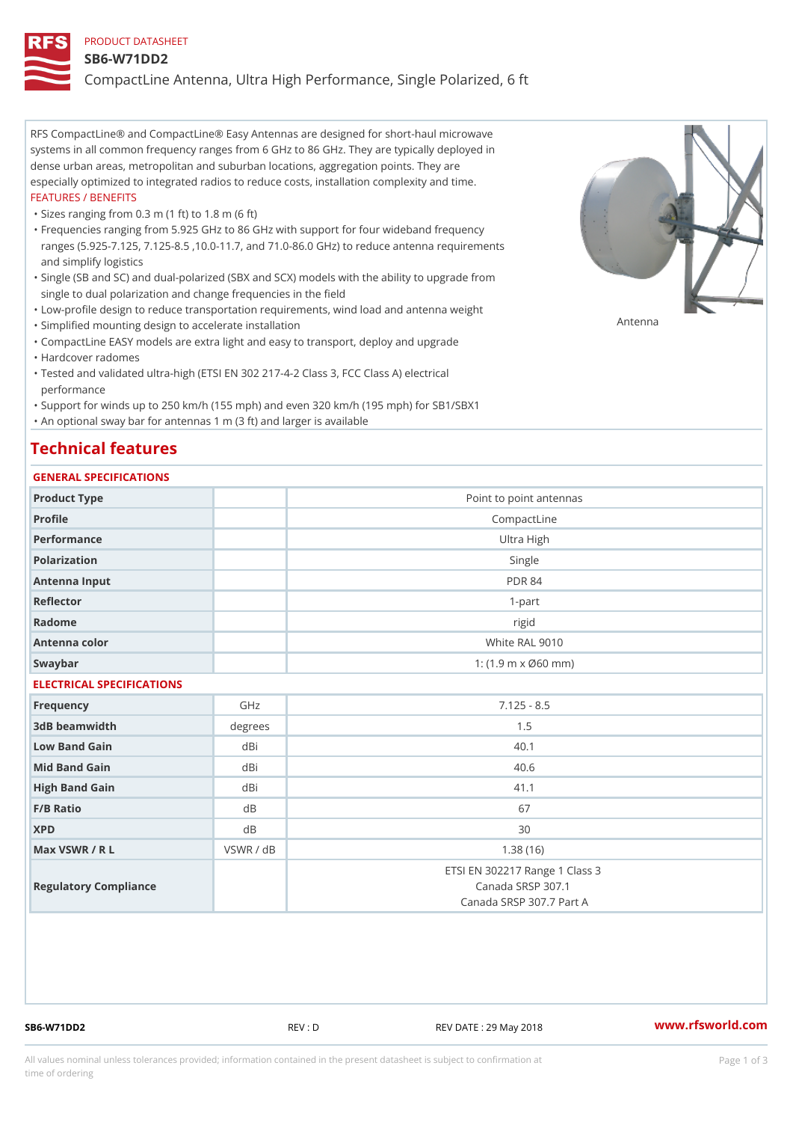#### PRODUCT DATASHEET

#### SB6-W71DD2

CompactLine Antenna, Ultra High Performance, Single Polarized, 6 ft

RFS CompactLine® and CompactLine® Easy Antennas are designed for short-haul microwave systems in all common frequency ranges from 6 GHz to 86 GHz. They are typically deployed in dense urban areas, metropolitan and suburban locations, aggregation points. They are especially optimized to integrated radios to reduce costs, installation complexity and time. FEATURES / BENEFITS

"Sizes ranging from 0.3 m (1 ft) to 1.8 m (6 ft)

- Frequencies ranging from 5.925 GHz to 86 GHz with support for four wideband frequency " ranges (5.925-7.125, 7.125-8.5 ,10.0-11.7, and 71.0-86.0 GHz) to reduce antenna requirements and simplify logistics
- Single (SB and SC) and dual-polarized (SBX and SCX) models with the ability to upgrade from " single to dual polarization and change frequencies in the field
- "Low-profile design to reduce transportation requirements, wind load and antenna weight
- "Simplified mounting design to accelerate installation

 "CompactLine EASY models are extra light and easy to transport, deploy and upgrade "Hardcover radomes

Tested and validated ultra-high (ETSI EN 302 217-4-2 Class 3, FCC Class A) electrical " performance

 "Support for winds up to 250 km/h (155 mph) and even 320 km/h (195 mph) for SB1/SBX1 "An optional sway bar for antennas 1 m (3 ft) and larger is available

## Technical features

## GENERAL SPECIFICATIONS

| OLIVLINAL OI LOII IOA I IONO |               |                                                                                 |  |  |  |
|------------------------------|---------------|---------------------------------------------------------------------------------|--|--|--|
| Product Type                 |               | Point to point antennas                                                         |  |  |  |
| Profile                      |               | CompactLine                                                                     |  |  |  |
| Performance                  | Ultra High    |                                                                                 |  |  |  |
| Polarization                 | Single        |                                                                                 |  |  |  |
| Antenna Input                | <b>PDR 84</b> |                                                                                 |  |  |  |
| Reflector                    | $1 - p$ art   |                                                                                 |  |  |  |
| Radome                       |               | rigid                                                                           |  |  |  |
| Antenna color                |               | White RAL 9010                                                                  |  |  |  |
| Swaybar                      |               | 1: (1.9 m x Ø60 mm)                                                             |  |  |  |
| ELECTRICAL SPECIFICATIONS    |               |                                                                                 |  |  |  |
| Frequency                    | GHz           | $7.125 - 8.5$                                                                   |  |  |  |
| 3dB beamwidth                | degree        | 1.5                                                                             |  |  |  |
| Low Band Gain                | dBi           | 40.1                                                                            |  |  |  |
| Mid Band Gain                | dBi           | 40.6                                                                            |  |  |  |
| High Band Gain               | dBi           | 41.1                                                                            |  |  |  |
| $F/B$ Ratio                  | d B           | 67                                                                              |  |  |  |
| <b>XPD</b>                   | d B           | 30                                                                              |  |  |  |
| Max VSWR / R L               | VSWR / dB     | 1.38(16)                                                                        |  |  |  |
| Regulatory Compliance        |               | ETSI EN 302217 Range 1 Class 3<br>Canada SRSP 307.1<br>Canada SRSP 307.7 Part A |  |  |  |

SB6-W71DD2 REV : D REV DATE : 29 May 2018 [www.](https://www.rfsworld.com)rfsworld.com

Antenna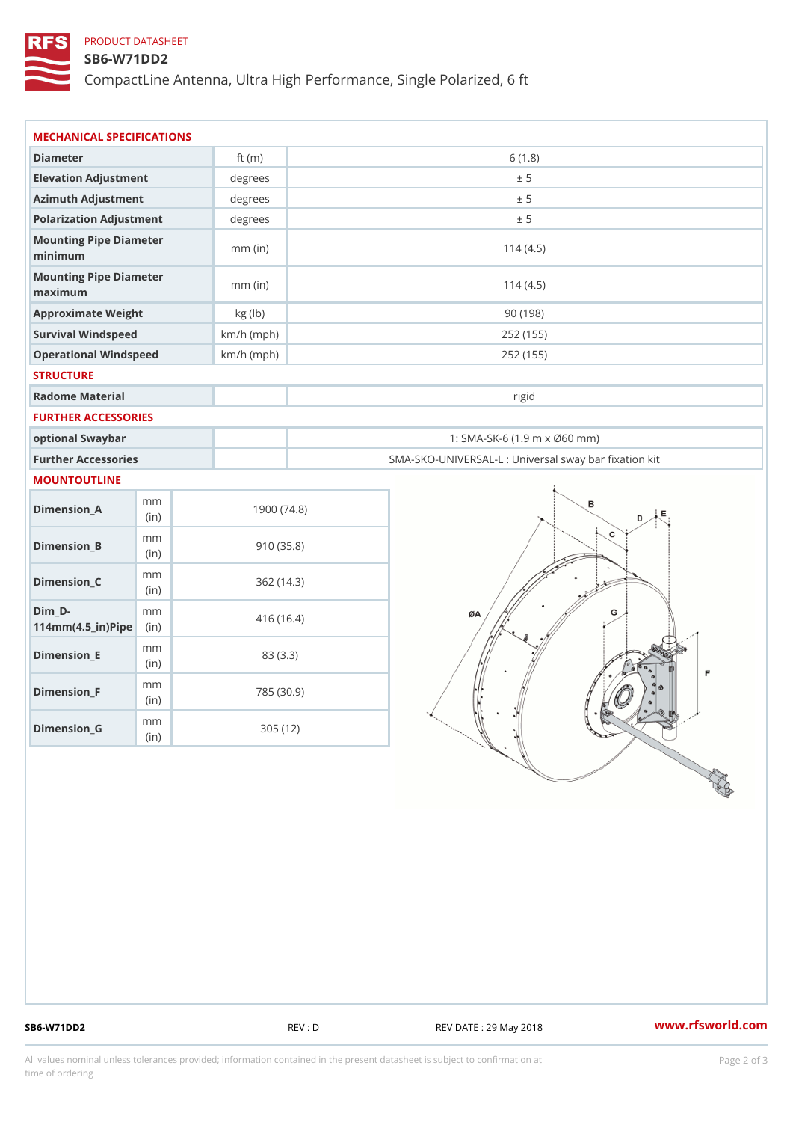## PRODUCT DATASHEET

#### SB6-W71DD2

CompactLine Antenna, Ultra High Performance, Single Polarized, 6 ft

| MECHANICAL SPECIFICATIONS                                              |             |              |                                                   |
|------------------------------------------------------------------------|-------------|--------------|---------------------------------------------------|
| Diameter                                                               |             | ft $(m)$     | 6(1.8)                                            |
| Elevation Adjustment                                                   |             | degrees      | ± 5                                               |
| Azimuth Adjustment                                                     |             | degrees      | ± 5                                               |
| Polarization Adjustment                                                |             | degrees      | ± 5                                               |
| Mounting Pipe Diameter<br>minimum                                      |             | $mm$ (in)    | 114(4.5)                                          |
| Mounting Pipe Diameter<br>maximum                                      |             | $mm$ (in)    | 114(4.5)                                          |
| Approximate Weight                                                     |             | kg (lb)      | 90(198)                                           |
| Survival Windspeed                                                     |             | $km/h$ (mph) | 252 (155)                                         |
| Operational Windspeed                                                  |             | $km/h$ (mph) | 252 (155)                                         |
| <b>STRUCTURE</b>                                                       |             |              |                                                   |
| Radome Material                                                        |             |              | rigid                                             |
| FURTHER ACCESSORIES                                                    |             |              |                                                   |
| optional Swaybar                                                       |             |              | 1: SMA-SK-6 (1.9 m x Ø60 mm)                      |
| Further Accessories                                                    |             |              | SMA-SKO-UNIVERSAL-L : Universal sway bar fixation |
| <b>MOUNTOUTLINE</b>                                                    |             |              |                                                   |
| $Dimen sion_A$                                                         | m m<br>(in) |              | 1900(74.8)                                        |
| $Dimension_B$                                                          | m m<br>(in) |              | 910(35.8)                                         |
| $Dimenision_C$                                                         | m m<br>(in) |              | 362(14.3)                                         |
| $Dim_D - D -$<br>$114$ m m $(4.5$ ir $)$ $\sqrt{$ ii $\sqrt{p}}$ $\ge$ | m m         |              | 416 (16.4)                                        |
| $Dimension$ _ $E$                                                      | m m<br>(in) |              | 83 (3.3)                                          |
| $Dimension_F$                                                          | m m<br>(in) |              | 785 (30.9)                                        |
|                                                                        | m m         |              | 305(12)                                           |

SB6-W71DD2 REV : D REV : D REV DATE : 29 May 2018 WWW.rfsworld.com